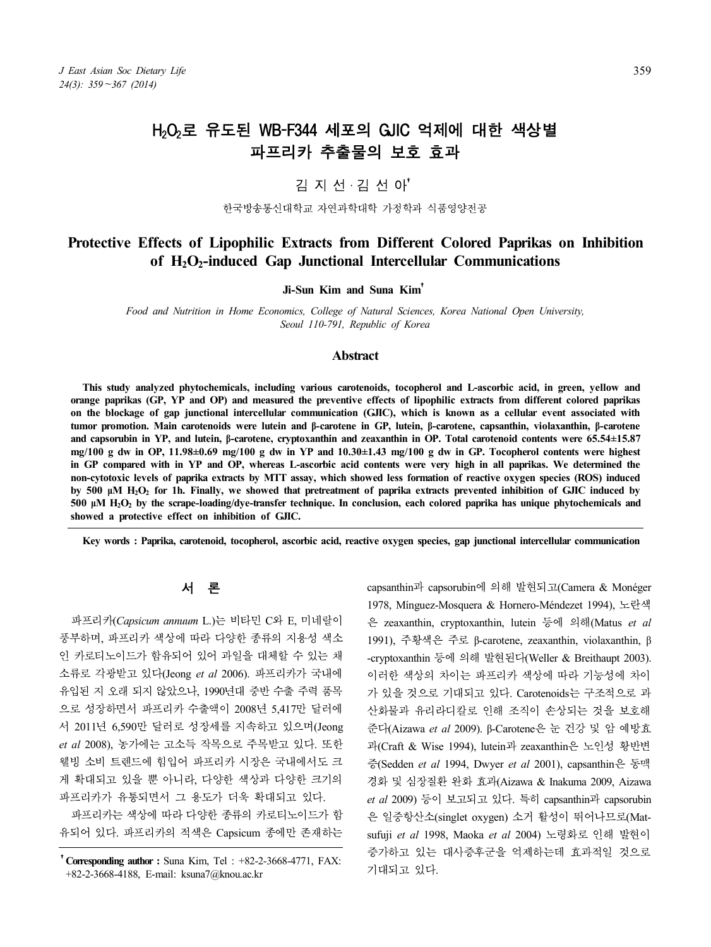# H<sub>2</sub>O<sub>2</sub>로 유도된 WB-F344 세포의 GJIC 억제에 대한 색상별 파프리카 추출물의 보호 효과

## 김 지 선ㆍ김 선 아†

#### 한국방송통신대학교 자연과학대학 가정학과 식품영양전공

## **Protective Effects of Lipophilic Extracts from Different Colored Paprikas on Inhibition of H2O2-induced Gap Junctional Intercellular Communications**

**Ji-Sun Kim and Suna Kim**†

*Food and Nutrition in Home Economics, College of Natural Sciences, Korea National Open University, Seoul 110-791, Republic of Korea*

### **Abstract**

**This study analyzed phytochemicals, including various carotenoids, tocopherol and L-ascorbic acid, in green, yellow and**  orange paprikas (GP, YP and OP) and measured the preventive effects of lipophilic extracts from different colored paprikas<br>on the blockage of gap junctional intercellular communication (GJIC), which is known as a cellular **tumor promotion. Main carotenoids were lutein and β-carotene in GP, lutein, β-carotene, capsanthin, violaxanthin, β-carotene and capsorubin in YP, and lutein, β-carotene, cryptoxanthin and zeaxanthin in OP. Total carotenoid contents were 65.54±15.87 mg/100 g dw in OP, 11.98±0.69 mg/100 g dw in YP and 10.30±1.43 mg/100 g dw in GP. Tocopherol contents were highest in GP compared with in YP and OP, whereas L-ascorbic acid contents were very high in all paprikas. We determined the non-cytotoxic levels of paprika extracts by MTT assay, which showed less formation of reactive oxygen species (ROS) induced by 500 μM H2O<sup>2</sup> for 1h. Finally, we showed that pretreatment of paprika extracts prevented inhibition of GJIC induced by 500 μM H2O<sup>2</sup> by the scrape-loading/dye-transfer technique. In conclusion, each colored paprika has unique phytochemicals and showed a protective effect on inhibition of GJIC.**

**Key words : Paprika, carotenoid, tocopherol, ascorbic acid, reactive oxygen species, gap junctional intercellular communication**

## 서 론

파프리카(*Capsicum annuum* L.)는 비타민 C와 E, 미네랄이 풍부하며, 파프리카 색상에 따라 다양한 종류의 지용성 색소 인 카로티노이드가 함유되어 있어 과일을 대체할 수 있는 채 소류로 각광받고 있다(Jeong *et al* 2006). 파프리카가 국내에 유입된 지 오래 되지 않았으나, 1990년대 중반 수출 주력 품목 으로 성장하면서 파프리카 수출액이 2008년 5,417만 달러에 서 2011년 6,590만 달러로 성장세를 지속하고 있으며(Jeong *et al* 2008), 농가에는 고소득 작목으로 주목받고 있다. 또한 웰빙 소비 트렌드에 힘입어 파프리카 시장은 국내에서도 크 게 확대되고 있을 뿐 아니라, 다양한 색상과 다양한 크기의 파프리카가 유통되면서 그 용도가 더욱 확대되고 있다.

파프리카는 색상에 따라 다양한 종류의 카로티노이드가 함 유되어 있다. 파프리카의 적색은 Capsicum 종에만 존재하는

†**Corresponding author :** Suna Kim, Tel : +82-2-3668-4771, FAX: +82-2-3668-4188, E-mail: ksuna7@knou.ac.kr

capsanthin과 capsorubin에 의해 발현되고(Camera & Monéger 1978, Mínguez-Mosquera & Hornero-Méndezet 1994), 노란색 은 zeaxanthin, cryptoxanthin, lutein 등에 의해(Matus *et al* 1991), 주황색은 주로 β-carotene, zeaxanthin, violaxanthin, β -cryptoxanthin 등에 의해 발현된다(Weller & Breithaupt 2003). 이러한 색상의 차이는 파프리카 색상에 따라 기능성에 차이 가 있을 것으로 기대되고 있다. Carotenoids는 구조적으로 과 산화물과 유리라디칼로 인해 조직이 손상되는 것을 보호해 준다(Aizawa *et al* 2009). β-Carotene은 눈 건강 및 암 예방효 과(Craft & Wise 1994), lutein과 zeaxanthin은 노인성 황반변 증(Sedden *et al* 1994, Dwyer *et al* 2001), capsanthin은 동맥 경화 및 심장질환 완화 효과(Aizawa & Inakuma 2009, Aizawa *et al* 2009) 등이 보고되고 있다. 특히 capsanthin과 capsorubin 은 일중항산소(singlet oxygen) 소거 활성이 뛰어나므로(Matsufuji *et al* 1998, Maoka *et al* 2004) 노령화로 인해 발현이 증가하고 있는 대사증후군을 억제하는데 효과적일 것으로 기대되고 있다.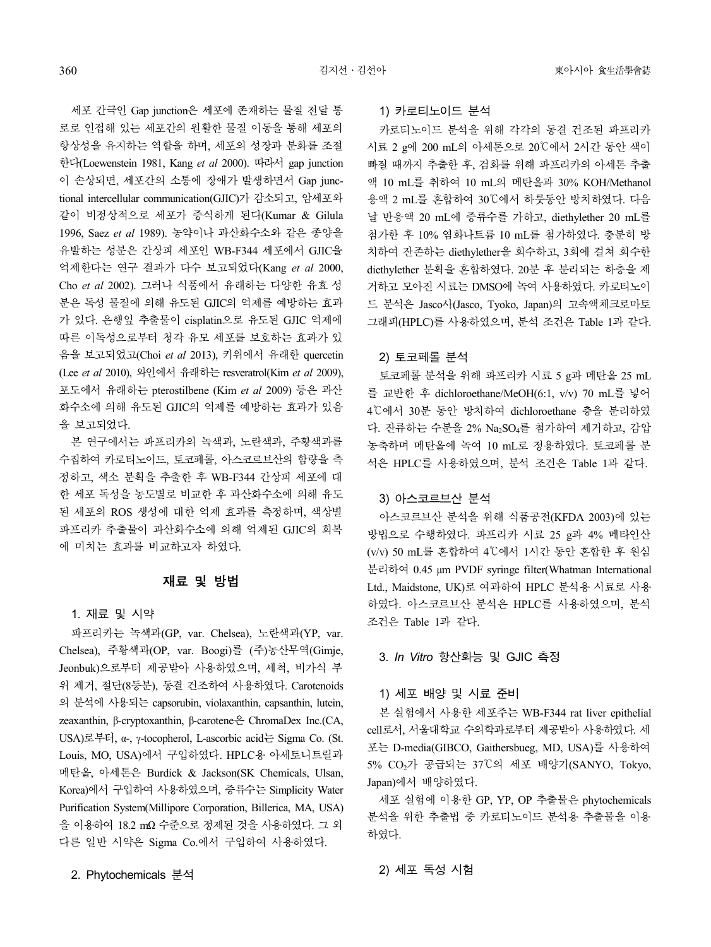세포 간극인 Gap junction은 세포에 존재하는 물질 전달 통 로로 인접해 있는 세포간의 원활한 물질 이동을 통해 세포의 항상성을 유지하는 역할을 하며, 세포의 성장과 분화를 조절 한다(Loewenstein 1981, Kang *et al* 2000). 따라서 gap junction 이 손상되면, 세포간의 소통에 장애가 발생하면서 Gap junctional intercellular communication(GJIC)가 감소되고, 암세포와 같이 비정상적으로 세포가 증식하게 된다(Kumar & Gilula 1996, Saez *et al* 1989). 농약이나 과산화수소와 같은 종양을 유발하는 성분은 간상피 세포인 WB-F344 세포에서 GJIC을 억제한다는 연구 결과가 다수 보고되었다(Kang *et al* 2000, Cho *et al* 2002). 그러나 식품에서 유래하는 다양한 유효 성 분은 독성 물질에 의해 유도된 GJIC의 억제를 예방하는 효과 가 있다. 은행잎 추출물이 cisplatin으로 유도된 GJIC 억제에 따른 이독성으로부터 청각 유모 세포를 보호하는 효과가 있 음을 보고되었고(Choi *et al* 2013), 키위에서 유래한 quercetin (Lee *et al* 2010), 와인에서 유래하는 resveratrol(Kim *et al* 2009), 포도에서 유래하는 pterostilbene (Kim *et al* 2009) 등은 과산 화수소에 의해 유도된 GJIC의 억제를 예방하는 효과가 있음 을 보고되었다.

본 연구에서는 파프리카의 녹색과, 노란색과, 주황색과를 수집하여 카로티노이드, 토코페롤, 아스코르브산의 함량을 측 정하고, 색소 분획을 추출한 후 WB-F344 간상피 세포에 대 한 세포 독성을 농도별로 비교한 후 과산화수소에 의해 유도 된 세포의 ROS 생성에 대한 억제 효과를 측정하며, 색상별 파프리카 추출물이 과산화수소에 의해 억제된 GJIC의 회복 에 미치는 효과를 비교하고자 하였다.

## 재료 및 방법

### 1. 재료 및 시약

파프리카는 녹색과(GP, var. Chelsea), 노란색과(YP, var. Chelsea), 주황색과(OP, var. Boogi)를 (주)농산무역(Gimje, Jeonbuk)으로부터 제공받아 사용하였으며, 세척, 비가식 부 위 제거, 절단(8등분), 동결 건조하여 사용하였다. Carotenoids 의 분석에 사용되는 capsorubin, violaxanthin, capsanthin, lutein, zeaxanthin, β-cryptoxanthin, β-carotene은 ChromaDex Inc.(CA, USA)로부터, α-, γ-tocopherol, L-ascorbic acid<sup>는</sup> Sigma Co. (St. Louis, MO, USA)에서 구입하였다. HPLC<sup>용</sup> 아세토니트릴과 메탄올, 아세톤은 Burdick & Jackson(SK Chemicals, Ulsan, Korea)에서 구입하여 사용하였으며, 증류수는 Simplicity Water Purification System(Millipore Corporation, Billerica, MA, USA) 을 이용하여 18.2 mΩ 수준으로 정제된 것을 사용하였다. 그 외 다른 일반 시약은 Sigma Co.에서 구입하여 사용하였다.

## 1) 카로티노이드 분석

카로티노이드 분석을 위해 각각의 동결 건조된 파프리카 시료 2 g에 200 mL의 아세톤으로 20℃에서 2시간 동안 색이 빠질 때까지 추출한 후, 검화를 위해 파프리카의 아세톤 추출 액 10 mL를 취하여 10 mL의 메탄올과 30% KOH/Methanol 용액 2 mL를 혼합하여 30℃에서 하룻동안 방치하였다. 다음 날 반응액 20 mL에 증류수를 가하고, diethylether 20 mL를 첨가한 후 10% 염화나트륨 10 mL를 첨가하였다. 충분히 방 치하여 잔존하는 diethylether을 회수하고, 3회에 걸쳐 회수한 diethylether 분획을 혼합하였다. 20분 후 분리되는 하층을 제 거하고 모아진 시료는 DMSO에 녹여 사용하였다. 카로티노이 드 분석은 Jasco사(Jasco, Tyoko, Japan)의 고속액체크로마토 그래피(HPLC)를 사용하였으며, 분석 조건은 Table 1과 같다.

#### 2) 토코페롤 분석

토코페롤 분석을 위해 파프리카 시료 5 g과 메탄올 25 mL 를 교반한 후 dichloroethane/MeOH(6:1, v/v) 70 mL를 넣어 4℃에서 30분 동안 방치하여 dichloroethane 층을 분리하였 다. 잔류하는 수분을 2% Na<sub>2</sub>SO<sub>4</sub>를 첨가하여 제거하고, 감압 농축하며 메탄올에 녹여 10 mL로 정용하였다. 토코페롤 분 석은 HPLC를 사용하였으며, 분석 조건은 Table 1과 같다.

#### 3) 아스코르브산 분석

아스코르브산 분석을 위해 식품공전(KFDA 2003)에 있는 방법으로 수행하였다. 파프리카 시료 25 g과 4% 메타인산 (v/v) 50 mL를 혼합하여 4℃에서 1시간 동안 혼합한 후 원심 분리하여 0.45 μm PVDF syringe filter(Whatman International Ltd., Maidstone, UK)로 여과하여 HPLC 분석용 시료로 사용 하였다. 아스코르브산 분석은 HPLC를 사용하였으며, 분석 조건은 Table 1과 같다.

## 3. *In Vitro* 항산화능 및 GJIC 측정

## 1) 세포 배양 및 시료 준비

본 실험에서 사용한 세포주는 WB-F344 rat liver epithelial cell로서, 서울대학교 수의학과로부터 제공받아 사용하였다. 세 포는 D-media(GIBCO, Gaithersbueg, MD, USA)를 사용하여 5% CO2가 공급되는 37℃의 세포 배양기(SANYO, Tokyo, Japan)에서 배양하였다.

세포 실험에 이용한 GP, YP, OP 추출물은 phytochemicals 분석을 위한 추출법 중 카로티노이드 분석용 추출물을 이용 하였다.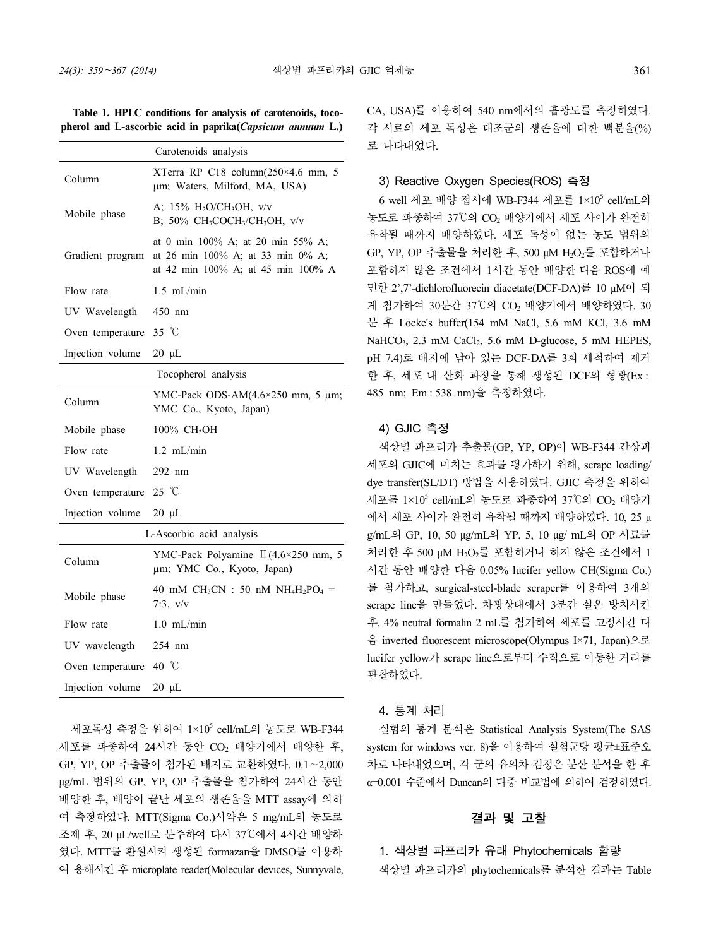**Table 1. HPLC conditions for analysis of carotenoids, tocopherol and L-ascorbic acid in paprika(***Capsicum annuum* **L.)**

|                  | Carotenoids analysis                                                                                                    |  |  |  |  |  |
|------------------|-------------------------------------------------------------------------------------------------------------------------|--|--|--|--|--|
| Column           | XTerra RP C18 column(250×4.6 mm, 5<br>um; Waters, Milford, MA, USA)                                                     |  |  |  |  |  |
| Mobile phase     | A; $15\%$ H <sub>2</sub> O/CH <sub>3</sub> OH, v/v<br>B; 50% CH <sub>3</sub> COCH <sub>3</sub> /CH <sub>3</sub> OH, v/v |  |  |  |  |  |
| Gradient program | at 0 min 100% A; at 20 min 55% A;<br>at 26 min 100% A; at 33 min 0% A;<br>at 42 min 100% A; at 45 min 100% A            |  |  |  |  |  |
| Flow rate        | $1.5$ mL/min                                                                                                            |  |  |  |  |  |
| UV Wavelength    | 450 nm                                                                                                                  |  |  |  |  |  |
| Oven temperature | 35 $\degree$ C                                                                                                          |  |  |  |  |  |
| Injection volume | $20 \mu L$                                                                                                              |  |  |  |  |  |
|                  | Tocopherol analysis                                                                                                     |  |  |  |  |  |
| Column           | YMC-Pack ODS-AM(4.6×250 mm, 5 μm;<br>YMC Co., Kyoto, Japan)                                                             |  |  |  |  |  |
| Mobile phase     | 100% CH <sub>3</sub> OH                                                                                                 |  |  |  |  |  |
| Flow rate        | $1.2$ mL/min                                                                                                            |  |  |  |  |  |
|                  |                                                                                                                         |  |  |  |  |  |
| UV Wavelength    | $292$ nm                                                                                                                |  |  |  |  |  |
| Oven temperature | 25 °C                                                                                                                   |  |  |  |  |  |
| Injection volume | $20 \mu L$                                                                                                              |  |  |  |  |  |
|                  | L-Ascorbic acid analysis                                                                                                |  |  |  |  |  |
| Column           | YMC-Pack Polyamine $\Pi$ (4.6×250 mm, 5<br>µm; YMC Co., Kyoto, Japan)                                                   |  |  |  |  |  |
| Mobile phase     | 40 mM $CH_3CN$ : 50 nM $NH_4H_2PO_4 =$<br>7:3, v/v                                                                      |  |  |  |  |  |
| Flow rate        | $1.0$ mL/min                                                                                                            |  |  |  |  |  |
| UV wavelength    | 254 nm                                                                                                                  |  |  |  |  |  |
| Oven temperature | 40 °C                                                                                                                   |  |  |  |  |  |

세포독성 측정을 위하여 1×10<sup>5</sup> cell/mL의 농도로 WB-F344 세포를 파종하여 24시간 동안 CO<sub>2</sub> 배양기에서 배양한 후,<br>GP, YP, OP 추출물이 첨가된 배지로 교환하였다. 0.1∼2,000 μg/mL 범위의 GP, YP, OP 추출물을 첨가하여 24시간 동안 배양한 후, 배양이 끝난 세포의 생존율을 MTT assay에 의하 여 측정하였다. MTT(Sigma Co.)시약은 5 mg/mL의 농도로 조제 후, 20 μL/well로 분주하여 다시 37℃에서 4시간 배양하 였다. MTT를 환원시켜 생성된 formazan을 DMSO를 이용하 여 용해시킨 후 microplate reader(Molecular devices, Sunnyvale, CA, USA)를 이용하여 540 nm에서의 흡광도를 측정하였다. 각 시료의 세포 독성은 대조군의 생존율에 대한 백분율(%) 로 나타내었다.

## 3) Reactive Oxygen Species(ROS) 측정

at 42 min 100% A; at 45 min 100% A 포함하지 않은 조건에서 1시간 동안 배양한 다음 ROS에 예 6 well 세포 배양 접시에 WB-F344 세포를 1×10<sup>5</sup> cell/mL의 농도로 파종하여 37℃의 CO<sub>2</sub> 배양기에서 세포 사이가 완전히 유착될 때까지 배양하였다. 세포 독성이 없는 농도 범위의 GP, YP, OP 추출물을 처리한 후, 500 µM H<sub>2</sub>O<sub>2</sub>를 포함하거나 민한 2',7'-dichlorofluorecin diacetate(DCF-DA)를 10 μM이 되 게 첨가하여 30분간 37℃의 CO<sub>2</sub> 배양기에서 배양하였다. 30 분 후 Locke's buffer(154 mM NaCl, 5.6 mM KCl, 3.6 mM NaHCO<sub>3</sub>, 2.3 mM CaCl<sub>2</sub>, 5.6 mM D-glucose, 5 mM HEPES, pH 7.4)로 배지에 남아 있는 DCF-DA를 3회 세척하여 제거 한 후, 세포 내 산화 과정을 통해 생성된 DCF의 형광(Ex: 485 nm; Em : 538 nm)을 측정하였다.

### 4) GJIC 측정

색상별 파프리카 추출물(GP, YP, OP)이 WB-F344 간상피 세포의 GJIC에 미치는 효과를 평가하기 위해, scrape loading/ dye transfer(SL/DT) 방법을 사용하였다. GJIC 측정을 위하여 세포를 1×10<sup>5</sup> cell/mL의 농도로 파종하여 37℃의 CO<sub>2</sub> 배양기 에서 세포 사이가 완전히 유착될 때까지 배양하였다. 10, 25 μ g/mL의 GP, 10, 50 μg/mL의 YP, 5, 10 μg/ mL의 OP 시료를 처리한 후 500 μM H2O2를 포함하거나 하지 않은 조건에서 1 시간 동안 배양한 다음 0.05% lucifer yellow CH(Sigma Co.) 를 첨가하고, surgical-steel-blade scraper를 이용하여 3개의 scrape line을 만들었다. 차광상태에서 3분간 실온 방치시킨 후, 4% neutral formalin 2 mL를 첨가하여 세포를 고정시킨 다 음 inverted fluorescent microscope(Olympus I×71, Japan)으로 lucifer yellow가 scrape line으로부터 수직으로 이동한 거리를 관찰하였다.

### 4. 통계 처리

실험의 통계 분석은 Statistical Analysis System(The SAS system for windows ver. 8)을 이용하여 실험군당 평균±표준오 차로 나타내었으며, 각 군의 유의차 검정은 분산 분석을 한 후 α=0.001 수준에서 Duncan의 다중 비교법에 의하여 검정하였다.

## 결과 및 고찰

1. 색상별 파프리카 유래 Phytochemicals 함량 색상별 파프리카의 phytochemicals를 분석한 결과는 Table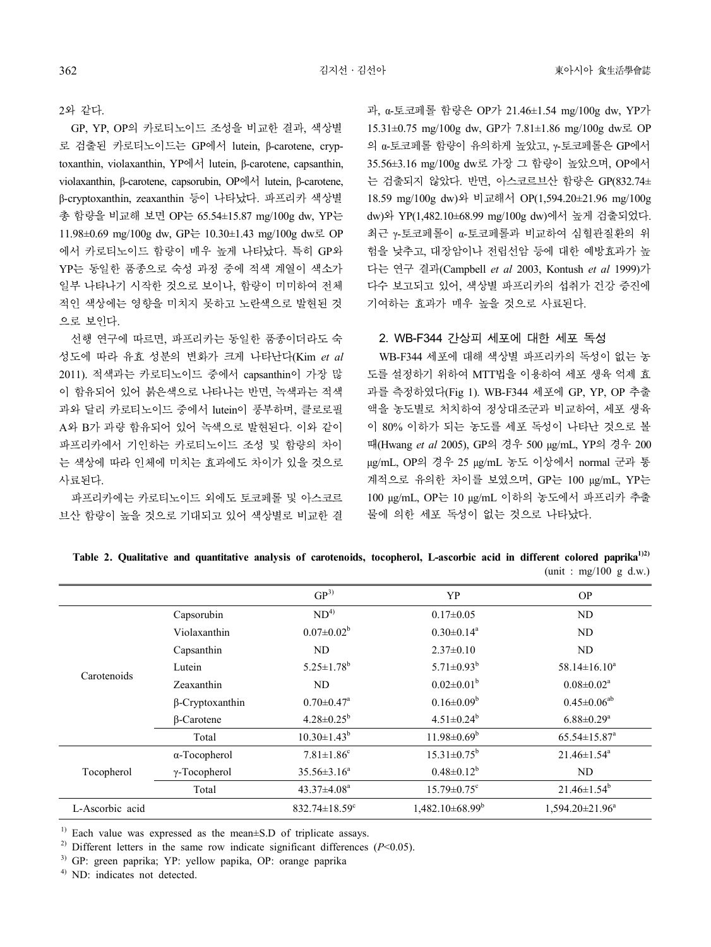#### 2와 같다.

GP, YP, OP의 카로티노이드 조성을 비교한 결과, 색상별 로 검출된 카로티노이드는 GP에서 lutein, β-carotene, cryptoxanthin, violaxanthin, YP에서 lutein, β-carotene, capsanthin, violaxanthin, β-carotene, capsorubin, OP에서 lutein, β-carotene, β-cryptoxanthin, zeaxanthin 등이 나타났다. 파프리카 색상별 총 함량을 비교해 보면 OP는 65.54±15.87 mg/100g dw, YP는 11.98±0.69 mg/100g dw, GP는 10.30±1.43 mg/100g dw로 OP 에서 카로티노이드 함량이 매우 높게 나타났다. 특히 GP와 YP는 동일한 품종으로 숙성 과정 중에 적색 계열이 색소가 일부 나타나기 시작한 것으로 보이나, 함량이 미미하여 전체 적인 색상에는 영향을 미치지 못하고 노란색으로 발현된 것 으로 보인다.

선행 연구에 따르면, 파프리카는 동일한 품종이더라도 숙 성도에 따라 유효 성분의 변화가 크게 나타난다(Kim *et al* 2011). 적색과는 카로티노이드 중에서 capsanthin이 가장 많 이 함유되어 있어 붉은색으로 나타나는 반면, 녹색과는 적색 과와 달리 카로티노이드 중에서 lutein이 풍부하며, 클로로필 A와 B가 과량 함유되어 있어 녹색으로 발현된다. 이와 같이 파프리카에서 기인하는 카로티노이드 조성 및 함량의 차이 는 색상에 따라 인체에 미치는 효과에도 차이가 있을 것으로 사료된다.

파프리카에는 카로티노이드 외에도 토코페롤 및 아스코르 브산 함량이 높을 것으로 기대되고 있어 색상별로 비교한 결

과, α-토코페롤 함량은 OP가 21.46±1.54 mg/100g dw, YP가 15.31±0.75 mg/100g dw, GP가 7.81±1.86 mg/100g dw로 OP 의 α-토코페롤 함량이 유의하게 높았고, γ-토코페롤은 GP에서 35.56±3.16 mg/100g dw로 가장 그 함량이 높았으며, OP에서 는 검출되지 않았다. 반면, 아스코르브산 함량은 GP(832.74± 18.59 mg/100g dw)와 비교해서 OP(1,594.20±21.96 mg/100g dw)와 YP(1,482.10±68.99 mg/100g dw)에서 높게 검출되었다. 최근 γ-토코페롤이 α-토코페롤과 비교하여 심혈관질환의 위 험을 낮추고, 대장암이나 전립선암 등에 대한 예방효과가 높 다는 연구 결과(Campbell *et al* 2003, Kontush *et al* 1999)가 다수 보고되고 있어, 색상별 파프리카의 섭취가 건강 증진에 기여하는 효과가 매우 높을 것으로 사료된다.

#### 2. WB-F344 간상피 세포에 대한 세포 독성

WB-F344 세포에 대해 색상별 파프리카의 독성이 없는 농 도를 설정하기 위하여 MTT법을 이용하여 세포 생육 억제 효 과를 측정하였다(Fig 1). WB-F344 세포에 GP, YP, OP 추출 액을 농도별로 처치하여 정상대조군과 비교하여, 세포 생육 이 80% 이하가 되는 농도를 세포 독성이 나타난 것으로 볼 때(Hwang *et al* 2005), GP의 경우 500 μg/mL, YP의 경우 200 μg/mL, OP의 경우 25 μg/mL 농도 이상에서 normal 군과 통 계적으로 유의한 차이를 보였으며, GP는 100 μg/mL, YP는 100 μg/mL, OP는 10 μg/mL 이하의 농도에서 파프리카 추출 물에 의한 세포 독성이 없는 것으로 나타났다.

|                 |                        | GP <sup>3</sup>                 | YP                            | <b>OP</b>                      |
|-----------------|------------------------|---------------------------------|-------------------------------|--------------------------------|
| Carotenoids     | Capsorubin             | ND <sup>4</sup>                 | $0.17 \pm 0.05$               | ND                             |
|                 | Violaxanthin           | $0.07 \pm 0.02^b$               | $0.30 \pm 0.14$ <sup>a</sup>  | ND                             |
|                 | Capsanthin             | ND                              | $2.37\pm0.10$                 | ND                             |
|                 | Lutein                 | $5.25 \pm 1.78$ <sup>b</sup>    | 5.71 $\pm$ 0.93 <sup>b</sup>  | $58.14 \pm 16.10^a$            |
|                 | Zeaxanthin             | ND.                             | $0.02 \pm 0.01^{\rm b}$       | $0.08 \pm 0.02^a$              |
|                 | $\beta$ -Cryptoxanthin | $0.70 \pm 0.47$ <sup>a</sup>    | $0.16 \pm 0.09^b$             | $0.45 \pm 0.06^{ab}$           |
|                 | <b>B-Carotene</b>      | $4.28 \pm 0.25^b$               | $4.51 \pm 0.24^b$             | $6.88 \pm 0.29$ <sup>a</sup>   |
|                 | Total                  | $10.30 \pm 1.43^b$              | $11.98 \pm 0.69^b$            | $65.54 \pm 15.87$ <sup>a</sup> |
| Tocopherol      | $\alpha$ -Tocopherol   | $7.81 \pm 1.86$ <sup>c</sup>    | $15.31 \pm 0.75^{\rm b}$      | $21.46 \pm 1.54$ <sup>a</sup>  |
|                 | $\gamma$ -Tocopherol   | $35.56 \pm 3.16^a$              | $0.48 \pm 0.12^b$             | ND                             |
|                 | Total                  | $43.37 \pm 4.08^a$              | $15.79 \pm 0.75$ <sup>c</sup> | $21.46 \pm 1.54^b$             |
| L-Ascorbic acid |                        | $832.74 \pm 18.59$ <sup>c</sup> | $1,482.10\pm68.99^b$          | $1.594.20 \pm 21.96^a$         |

**Table 2. Qualitative and quantitative analysis of carotenoids, tocopherol, L-ascorbic acid in different colored paprika1)2)** (unit : mg/100 g d.w.)

 $1)$  Each value was expressed as the mean $\pm$ S.D of triplicate assays.

<sup>2)</sup> Different letters in the same row indicate significant differences  $(P<0.05)$ .

3) GP: green paprika; YP: yellow papika, OP: orange paprika

4) ND: indicates not detected.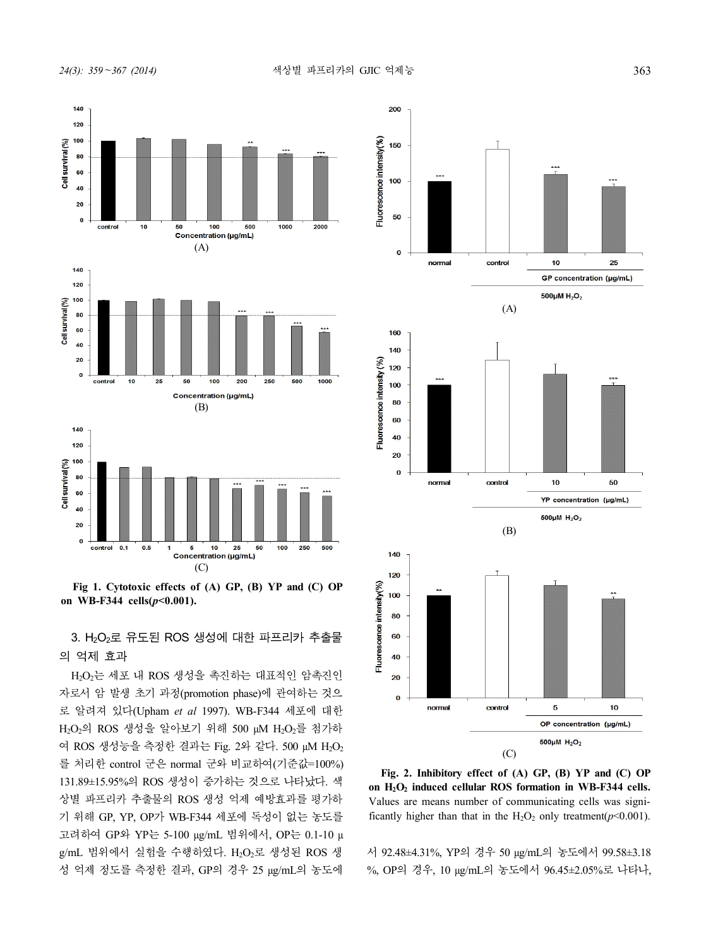



**Fig 1. Cytotoxic effects of (A) GP, (B) YP and (C) OP**<br>1 WB-F344 cells( $p<0.001$ ).<br>3. H<sub>2</sub>O<sub>2</sub>로 유도된 ROS 생성에 대한 파프리카 추출물<br>역제 효과<br>1 Cold 생동 생은 경기가 생동권인 인호권인 원호텔 의 억제 효과

H2O2는 세포 내 ROS 생성을 촉진하는 대표적인 암촉진인  $\qquad$   $\qquad$  20 자로서 암 발생 초기 과정(promotion phase)에 관여하는 것으 로 알려져 있다(Upham *et al* 1997). WB-F344 세포에 대한 H2O2의 ROS 생성을 알아보기 위해 500 μM H2O2를 첨가하 여 ROS 생성능을 측정한 결과는 Fig. 2와 같다. 500 μM H<sub>2</sub>O<sub>2</sub> 를 처리한 control 군은 normal 군와 비교하여(기준값=100%) 131.89±15.95%의 ROS 생성이 증가하는 것으로 나타났다. 색 상별 파프리카 추출물의 ROS 생성 억제 예방효과를 평가하 기 위해 GP, YP, OP가 WB-F344 세포에 독성이 없는 농도를 고려하여 GP와 YP는 5-100 μg/mL 범위에서, OP는 0.1-10 μ g/mL 범위에서 실험을 수행하였다. H<sub>2</sub>O<sub>2</sub>로 생성된 ROS 생 성 억제 정도를 측정한 결과, GP의 경우 25 μg/mL의 농도에



**Fig. 2. Inhibitory effect of (A) GP, (B) YP and (C) OP on H2O<sup>2</sup> induced cellular ROS formation in WB-F344 cells.**  Values are means number of communicating cells was significantly higher than that in the  $H_2O_2$  only treatment( $p<0.001$ ).

서 92.48±4.31%, YP의 경우 50 μg/mL의 농도에서 99.58±3.18 %, OP의 경우, 10 μg/mL의 농도에서 96.45±2.05%로 나타나,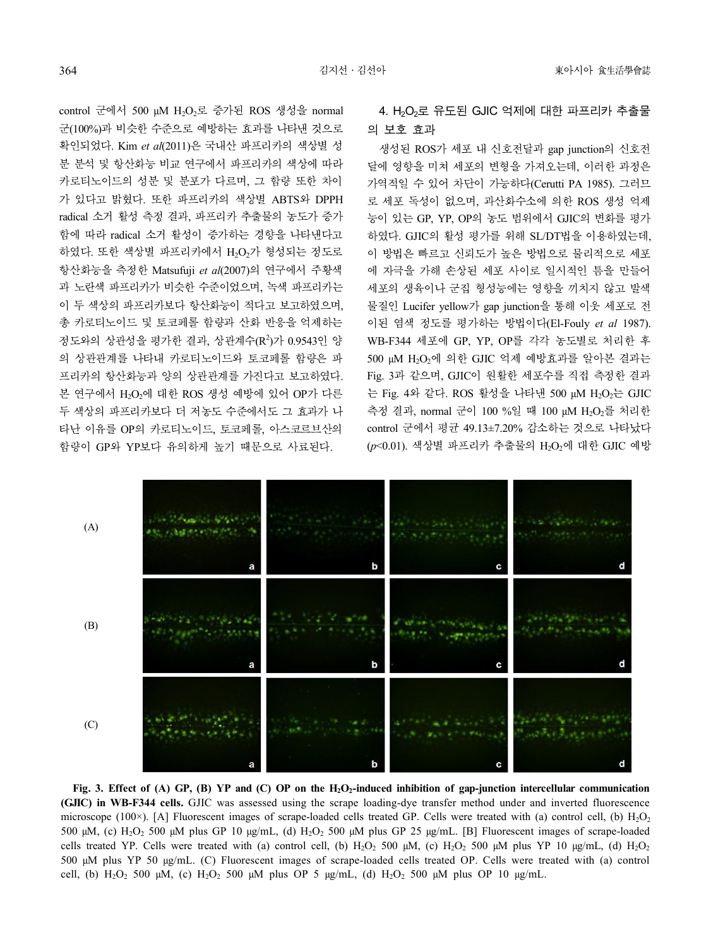control 군에서 500 uM H<sub>2</sub>O<sub>2</sub>로 증가된 ROS 생성을 normal 군(100%)과 비슷한 수준으로 예방하는 효과를 나타낸 것으로 확인되었다. Kim *et al*(2011)은 국내산 파프리카의 색상별 성 분 분석 및 항산화능 비교 연구에서 파프리카의 색상에 따라 카로티노이드의 성분 및 분포가 다르며, 그 함량 또한 차이 가 있다고 밝혔다. 또한 파프리카의 색상별 ABTS와 DPPH radical 소거 활성 측정 결과, 파프리카 추출물의 농도가 증가 함에 따라 radical 소거 활성이 증가하는 경향을 나타낸다고 하였다. 또한 색상별 파프리카에서 H<sub>2</sub>O<sub>2</sub>가 형성되는 정도로 항산화능을 측정한 Matsufuji *et al*(2007)의 연구에서 주황색 과 노란색 파프리카가 비슷한 수준이었으며, 녹색 파프리카는 이 두 색상의 파프리카보다 항산화능이 적다고 보고하였으며, 총 카로티노이드 및 토코페롤 함량과 산화 반응을 억제하는 정도와의 상관성을 평가한 결과, 상관계수(R<sup>2</sup>)가 0.9543인 양 의 상관관계를 나타내 카로티노이드와 토코페롤 함량은 파 프리카의 항산화능과 양의 상관관계를 가진다고 보고하였다. 본 연구에서 H<sub>2</sub>O<sub>2</sub>에 대한 ROS 생성 예방에 있어 OP가 다른 두 색상의 파프리카보다 더 저농도 수준에서도 그 효과가 나 타난 이유를 OP의 카로티노이드, 토코페롤, 아스코르브산의 함량이 GP와 YP보다 유의하게 높기 때문으로 사료된다.

## 4. H<sub>2</sub>O<sub>2</sub>로 유도된 GJIC 억제에 대한 파프리카 추출물 의 보호 효과

생성된 ROS가 세포 내 신호전달과 gap junction의 신호전 달에 영향을 미쳐 세포의 변형을 가져오는데, 이러한 과정은 가역적일 수 있어 차단이 가능하다(Cerutti PA 1985). 그러므 로 세포 독성이 없으며, 과산화수소에 의한 ROS 생성 억제 능이 있는 GP, YP, OP의 농도 범위에서 GJIC의 변화를 평가 하였다. GJIC의 활성 평가를 위해 SL/DT법을 이용하였는데, 이 방법은 빠르고 신뢰도가 높은 방법으로 물리적으로 세포 에 자극을 가해 손상된 세포 사이로 일시적인 틈을 만들어 세포의 생육이나 군집 형성능에는 영향을 끼치지 않고 발색 물질인 Lucifer yellow가 gap junction을 통해 이웃 세포로 전 이된 염색 정도를 평가하는 방법이다(El-Fouly *et al* 1987). WB-F344 세포에 GP, YP, OP를 각각 농도별로 처리한 후 500 μM H<sub>2</sub>O<sub>2</sub>에 의한 GJIC 억제 예방효과를 알아본 결과는 Fig. 3과 같으며, GJIC이 원활한 세포수를 직접 측정한 결과 는 Fig. 4와 같다. ROS 활성을 나타낸 500 μM H<sub>2</sub>O<sub>2</sub>는 GJIC 측정 결과, normal 군이 100 %일 때 100 μM H2O2를 처리한 control 군에서 평균 49.13±7.20% 감소하는 것으로 나타났다 (p<0.01). 색상별 파프리카 추출물의 H<sub>2</sub>O<sub>2</sub>에 대한 GJIC 예방



**Fig. 3. Effect of (A) GP, (B) YP and (C) OP on the H2O2-induced inhibition of gap-junction intercellular communication (GJIC) in WB-F344 cells.** GJIC was assessed using the scrape loading-dye transfer method under and inverted fluorescence microscope (100 $\times$ ). [A] Fluorescent images of scrape-loaded cells treated GP. Cells were treated with (a) control cell, (b)  $H_2O_2$ 500 μM, (c) H<sub>2</sub>O<sub>2</sub> 500 μM plus GP 10 μg/mL, (d) H<sub>2</sub>O<sub>2</sub> 500 μM plus GP 25 μg/mL. [B] Fluorescent images of scrape-loaded cells treated YP. Cells were treated with (a) control cell, (b)  $H_2O_2$  500  $\mu$ M, (c)  $H_2O_2$  500  $\mu$ M plus YP 10  $\mu$ g/mL, (d)  $H_2O_2$ 500 μM plus YP 50 μg/mL. (C) Fluorescent images of scrape-loaded cells treated OP. Cells were treated with (a) control cell, (b)  $H_2O_2$  500 μM, (c)  $H_2O_2$  500 μM plus OP 5 μg/mL, (d)  $H_2O_2$  500 μM plus OP 10 μg/mL.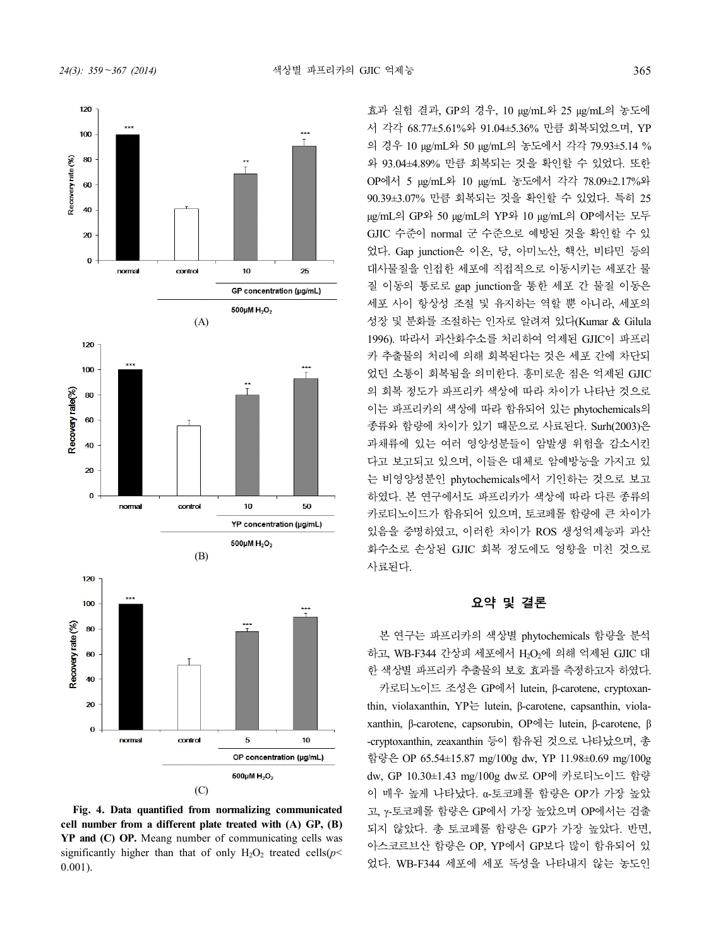

(C)

**Fig. 4. Data quantified from normalizing communicated cell number from a different plate treated with (A) GP, (B) YP and (C) OP.** Meang number of communicating cells was significantly higher than that of only  $H_2O_2$  treated cells( $p$  < 0.001).

효과 실험 결과, GP의 경우, 10 μg/mL와 25 μg/mL의 농도에 서 각각 68.77±5.61%와 91.04±5.36% 만큼 회복되었으며, YP 의 경우 10 μg/mL와 50 μg/mL의 농도에서 각각 79.93±5.14 % 와 93.04±4.89% 만큼 회복되는 것을 확인할 수 있었다. 또한 OP에서 5 μg/mL와 10 μg/mL 농도에서 각각 78.09±2.17%와 90.39±3.07% 만큼 회복되는 것을 확인할 수 있었다. 특히 25 μg/mL의 GP와 50 μg/mL의 YP와 10 μg/mL의 OP에서는 모두 GJIC 수준이 normal 군 수준으로 예방된 것을 확인할 수 있 었다. Gap junction은 이온, 당, 아미노산, 핵산, 비타민 등의 대사물질을 인접한 세포에 직접적으로 이동시키는 세포간 물 질 이동의 통로로 gap junction을 통한 세포 간 물질 이동은 세포 사이 항상성 조절 및 유지하는 역할 뿐 아니라, 세포의 성장 및 분화를 조절하는 인자로 알려져 있다(Kumar & Gilula 1996). 따라서 과산화수소를 처리하여 억제된 GJIC이 파프리 카 추출물의 처리에 의해 회복된다는 것은 세포 간에 차단되 었던 소통이 회복됨을 의미한다. 흥미로운 점은 억제된 GJIC 의 회복 정도가 파프리카 색상에 따라 차이가 나타난 것으로 이는 파프리카의 색상에 따라 함유되어 있는 phytochemicals의 종류와 함량에 차이가 있기 때문으로 사료된다. Surh(2003)은 과채류에 있는 여러 영양성분들이 암발생 위험을 감소시킨 다고 보고되고 있으며, 이들은 대체로 암예방능을 가지고 있 는 비영양성분인 phytochemicals에서 기인하는 것으로 보고 하였다. 본 연구에서도 파프리카가 색상에 따라 다른 종류의 카로티노이드가 함유되어 있으며, 토코페롤 함량에 큰 차이가 있음을 증명하였고, 이러한 차이가 ROS 생성억제능과 과산 화수소로 손상된 GJIC 회복 정도에도 영향을 미친 것으로 사료된다.

#### 요약 및 결론

본 연구는 파프리카의 색상별 phytochemicals 함량을 분석 하고, WB-F344 간상피 세포에서 H<sub>2</sub>O<sub>2</sub>에 의해 억제된 GJIC 대 한 색상별 파프리카 추출물의 보호 효과를 측정하고자 하였다.

카로티노이드 조성은 GP에서 lutein, β-carotene, cryptoxanthin, violaxanthin, YP는 lutein, β-carotene, capsanthin, violaxanthin, β-carotene, capsorubin, OP에는 lutein, β-carotene, β -cryptoxanthin, zeaxanthin 등이 함유된 것으로 나타났으며, 총 함량은 OP 65.54±15.87 mg/100g dw, YP 11.98±0.69 mg/100g dw, GP 10.30±1.43 mg/100g dw로 OP에 카로티노이드 함량 이 매우 높게 나타났다. α-토코페롤 함량은 OP가 가장 높았 고, γ-토코페롤 함량은 GP에서 가장 높았으며 OP에서는 검출 되지 않았다. 총 토코페롤 함량은 GP가 가장 높았다. 반면, 아스코르브산 함량은 OP, YP에서 GP보다 많이 함유되어 있 었다. WB-F344 세포에 세포 독성을 나타내지 않는 농도인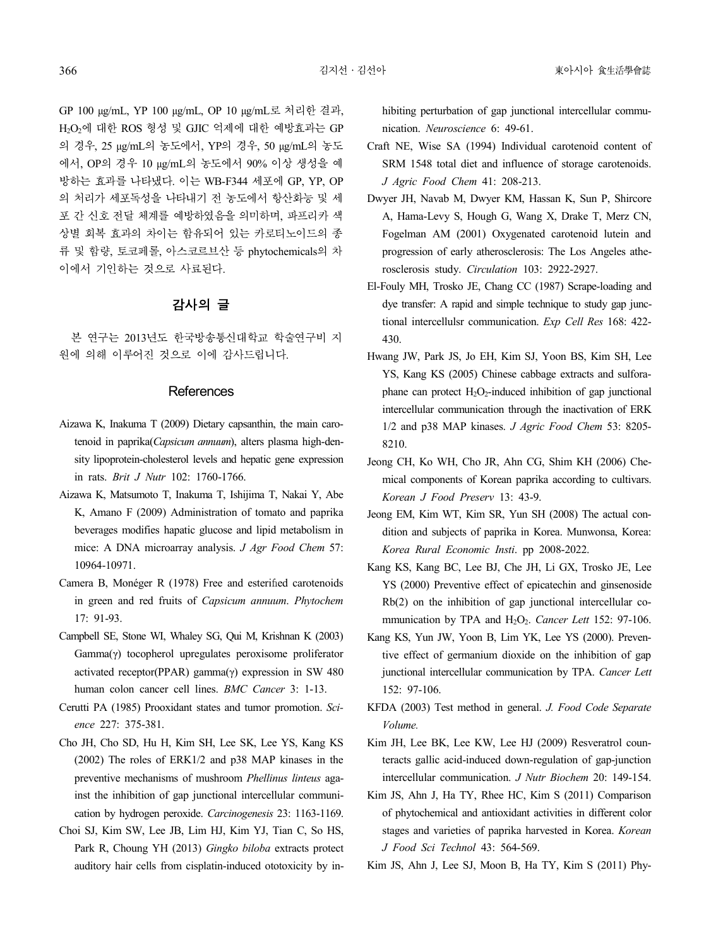GP 100 μg/mL, YP 100 μg/mL, OP 10 μg/mL<sup>로</sup> 처리한 결과, H2O2<sup>에</sup> 대한 ROS 형성 <sup>및</sup> GJIC 억제에 대한 예방효과는 GP 의 경우, 25 μg/mL의 농도에서, YP의 경우, 50 μg/mL의 농도 에서, OP의 경우 10 μg/mL의 농도에서 90% 이상 생성을 예 방하는 효과를 나타냈다. 이는 WB-F344 세포에 GP, YP, OP 의 처리가 세포독성을 나타내기 전 농도에서 항산화능 및 세 포 간 신호 전달 체계를 예방하였음을 의미하며, 파프리카 색 상별 회복 효과의 차이는 함유되어 있는 카로티노이드의 종 류 및 함량, 토코페롤, 아스코르브산 등 phytochemicals의 차 이에서 기인하는 것으로 사료된다.

## 감사의 글

본 연구는 2013년도 한국방송통신대학교 학술연구비 지 원에 의해 이루어진 것으로 이에 감사드립니다.

## **References**

- Aizawa K, Inakuma T (2009) Dietary capsanthin, the main carotenoid in paprika(*Capsicum annuum*), alters plasma high-density lipoprotein-cholesterol levels and hepatic gene expression in rats. *Brit J Nutr* 102: 1760-1766.
- Aizawa K, Matsumoto T, Inakuma T, Ishijima T, Nakai Y, Abe K, Amano F (2009) Administration of tomato and paprika beverages modifies hapatic glucose and lipid metabolism in mice: A DNA microarray analysis. *J Agr Food Chem* 57: 10964-10971.
- Camera B, Monéger R (1978) Free and esterified carotenoids in green and red fruits of *Capsicum annuum*. *Phytochem* 17: 91-93.
- Campbell SE, Stone WI, Whaley SG, Qui M, Krishnan K (2003) Gamma(γ) tocopherol upregulates peroxisome proliferator activated receptor(PPAR) gamma(γ) expression in SW 480 human colon cancer cell lines. *BMC Cancer* 3: 1-13.
- Cerutti PA (1985) Prooxidant states and tumor promotion. *Sci- ence* 227: 375-381.
- Cho JH, Cho SD, Hu H, Kim SH, Lee SK, Lee YS, Kang KS (2002) The roles of ERK1/2 and p38 MAP kinases in the preventive mechanisms of mushroom *Phellinus linteus* against the inhibition of gap junctional intercellular communication by hydrogen peroxide. *Carcinogenesis* 23: 1163-1169.
- Choi SJ, Kim SW, Lee JB, Lim HJ, Kim YJ, Tian C, So HS, Park R, Choung YH (2013) *Gingko biloba* extracts protect auditory hair cells from cisplatin-induced ototoxicity by in-

hibiting perturbation of gap junctional intercellular communication. *Neuroscience* 6: 49-61.

- Craft NE, Wise SA (1994) Individual carotenoid content of SRM 1548 total diet and influence of storage carotenoids. *J Agric Food Chem* 41: 208-213.
- Dwyer JH, Navab M, Dwyer KM, Hassan K, Sun P, Shircore A, Hama-Levy S, Hough G, Wang X, Drake T, Merz CN, Fogelman AM (2001) Oxygenated carotenoid lutein and progression of early atherosclerosis: The Los Angeles atherosclerosis study. *Circulation* 103: 2922-2927.
- El-Fouly MH, Trosko JE, Chang CC (1987) Scrape-loading and dye transfer: A rapid and simple technique to study gap junctional intercellulsr communication. *Exp Cell Res* 168: 422- 430.
- Hwang JW, Park JS, Jo EH, Kim SJ, Yoon BS, Kim SH, Lee YS, Kang KS (2005) Chinese cabbage extracts and sulforaphane can protect  $H_2O_2$ -induced inhibition of gap junctional intercellular communication through the inactivation of ERK 1/2 and p38 MAP kinases. *J Agric Food Chem* 53: 8205- 8210.
- Jeong CH, Ko WH, Cho JR, Ahn CG, Shim KH (2006) Chemical components of Korean paprika according to cultivars. *Korean J Food Preserv* 13: 43-9.
- Jeong EM, Kim WT, Kim SR, Yun SH (2008) The actual condition and subjects of paprika in Korea. Munwonsa, Korea: *Korea Rural Economic Insti*. pp 2008-2022.
- Kang KS, Kang BC, Lee BJ, Che JH, Li GX, Trosko JE, Lee YS (2000) Preventive effect of epicatechin and ginsenoside Rb(2) on the inhibition of gap junctional intercellular communication by TPA and H<sub>2</sub>O<sub>2</sub>. *Cancer Lett* 152: 97-106.
- Kang KS, Yun JW, Yoon B, Lim YK, Lee YS (2000). Preventive effect of germanium dioxide on the inhibition of gap junctional intercellular communication by TPA. *Cancer Lett* 152: 97-106.
- KFDA (2003) Test method in general. *J. Food Code Separate Volume.*
- Kim JH, Lee BK, Lee KW, Lee HJ (2009) Resveratrol counteracts gallic acid-induced down-regulation of gap-junction intercellular communication. *J Nutr Biochem* 20: 149-154.
- Kim JS, Ahn J, Ha TY, Rhee HC, Kim S (2011) Comparison of phytochemical and antioxidant activities in different color stages and varieties of paprika harvested in Korea. *Korean J Food Sci Technol* 43: 564-569.
- Kim JS, Ahn J, Lee SJ, Moon B, Ha TY, Kim S (2011) Phy-